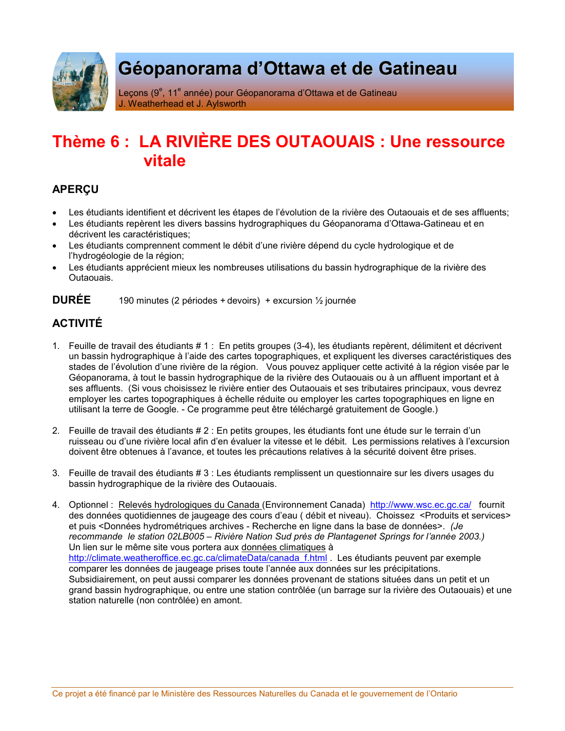

# Géopanorama d'Ottawa et de Gatineau

Leçons (9<sup>e</sup>, 11<sup>e</sup> année) pour Géopanorama d'Ottawa et de Gatineau J. Weatherhead et J. Aylsworth

## Thème 6 : LA RIVIÈRE DES OUTAOUAIS : Une ressource vitale

### **APERCU**

- Les étudiants identifient et décrivent les étapes de l'évolution de la rivière des Outaouais et de ses affluents;
- Les étudiants repèrent les divers bassins hydrographiques du Géopanorama d'Ottawa-Gatineau et en décrivent les caractéristiques;
- · Les étudiants comprennent comment le débit d'une rivière dépend du cycle hydrologique et de l'hydrogéologie de la région;
- Les étudiants apprécient mieux les nombreuses utilisations du bassin hydrographique de la rivière des Outaouais.

#### **DURFF** 190 minutes (2 périodes + devoirs) + excursion 1/2 journée

## **ACTIVITÉ**

- 1. Feuille de travail des étudiants # 1 : En petits groupes (3-4), les étudiants repèrent, délimitent et décrivent un bassin hydrographique à l'aide des cartes topographiques, et expliquent les diverses caractéristiques des stades de l'évolution d'une rivière de la région. Vous pouvez appliquer cette activité à la région visée par le Géopanorama, à tout le bassin hydrographique de la rivière des Outaouais ou à un affluent important et à ses affluents. (Si vous choisissez le rivière entier des Outaouais et ses tributaires principaux, vous devrez employer les cartes topographiques à échelle réduite ou employer les cartes topographiques en ligne en utilisant la terre de Google. - Ce programme peut être téléchargé gratuitement de Google.)
- 2. Feuille de travail des étudiants # 2 : En petits groupes, les étudiants font une étude sur le terrain d'un ruisseau ou d'une rivière local afin d'en évaluer la vitesse et le débit. Les permissions relatives à l'excursion doivent être obtenues à l'avance, et toutes les précautions relatives à la sécurité doivent être prises.
- 3. Feuille de travail des étudiants # 3 : Les étudiants remplissent un questionnaire sur les divers usages du bassin hydrographique de la rivière des Outaouais.
- 4. Optionnel: Relevés hydrologiques du Canada (Environnement Canada) http://www.wsc.ec.gc.ca/ fournit des données quotidiennes de jaugeage des cours d'eau (débit et niveau). Choissez <Produits et services> et puis <Données hydrométriques archives - Recherche en ligne dans la base de données>. (Je recommande le station 02LB005 - Rivière Nation Sud près de Plantagenet Springs for l'année 2003.) Un lien sur le même site vous portera aux données climatiques à http://climate.weatheroffice.ec.gc.ca/climateData/canada\_f.html Les étudiants peuvent par exemple comparer les données de jaugeage prises toute l'année aux données sur les précipitations. Subsidiairement, on peut aussi comparer les données provenant de stations situées dans un petit et un grand bassin hydrographique, ou entre une station contrôlée (un barrage sur la rivière des Outaouais) et une station naturelle (non contrôlée) en amont.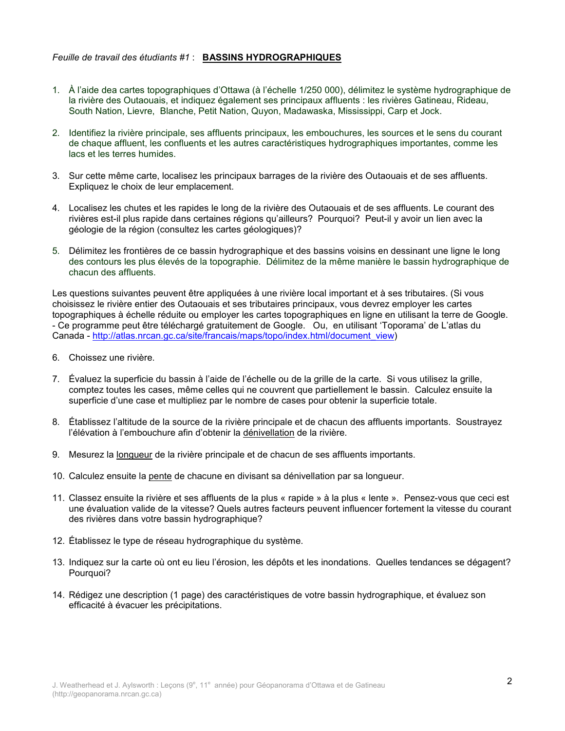#### Feuille de travail des étudiants #1 : BASSINS HYDROGRAPHIQUES

- 1. À l'aide dea cartes topographiques d'Ottawa (à l'échelle 1/250 000), délimitez le système hydrographique de la rivière des Outaouais, et indiquez également ses principaux affluents : les rivières Gatineau, Rideau, South Nation, Lievre, Blanche, Petit Nation, Quyon, Madawaska, Mississippi, Carp et Jock.
- 2. Identifiez la rivière principale, ses affluents principaux, les embouchures, les sources et le sens du courant de chaque affluent, les confluents et les autres caractéristiques hydrographiques importantes, comme les lacs et les terres humides.
- 3. Sur cette même carte, localisez les principaux barrages de la rivière des Outaouais et de ses affluents. Expliquez le choix de leur emplacement.
- 4. Localisez les chutes et les rapides le long de la rivière des Outaouais et de ses affluents. Le courant des rivières est-il plus rapide dans certaines régions qu'ailleurs? Pourquoi? Peut-il y avoir un lien avec la géologie de la région (consultez les cartes géologiques)?
- 5. Délimitez les frontières de ce bassin hydrographique et des bassins voisins en dessinant une ligne le long des contours les plus élevés de la topographie. Délimitez de la même manière le bassin hydrographique de chacun des affluents.

Les questions suivantes peuvent être appliquées à une rivière local important et à ses tributaires. (Si vous choisissez le rivière entier des Outaouais et ses tributaires principaux, vous devrez employer les cartes topographiques à échelle réduite ou employer les cartes topographiques en ligne en utilisant la terre de Google. - Ce programme peut être téléchargé gratuitement de Google. Ou, en utilisant 'Toporama' de L'atlas du Canada - http://atlas.nrcan.gc.ca/site/francais/maps/topo/index.html/document\_view)

- 6. Choissez une rivière.
- 7. Évaluez la superficie du bassin à l'aide de l'échelle ou de la grille de la carte. Si vous utilisez la grille, comptez toutes les cases, même celles qui ne couvrent que partiellement le bassin. Calculez ensuite la superficie d'une case et multipliez par le nombre de cases pour obtenir la superficie totale.
- 8. Établissez l'altitude de la source de la rivière principale et de chacun des affluents importants. Soustrayez l'élévation à l'embouchure afin d'obtenir la dénivellation de la rivière.
- 9. Mesurez la longueur de la rivière principale et de chacun de ses affluents importants.
- 10. Calculez ensuite la pente de chacune en divisant sa dénivellation par sa longueur.
- 11. Classez ensuite la rivière et ses affluents de la plus « rapide » à la plus « lente ». Pensez-vous que ceci est une évaluation valide de la vitesse? Quels autres facteurs peuvent influencer fortement la vitesse du courant des rivières dans votre bassin hydrographique?
- 12. Établissez le type de réseau hydrographique du système.
- 13. Indiquez sur la carte où ont eu lieu l'érosion, les dépôts et les inondations. Quelles tendances se dégagent? Pourquoi?
- 14. Rédigez une description (1 page) des caractéristiques de votre bassin hydrographique, et évaluez son efficacité à évacuer les précipitations.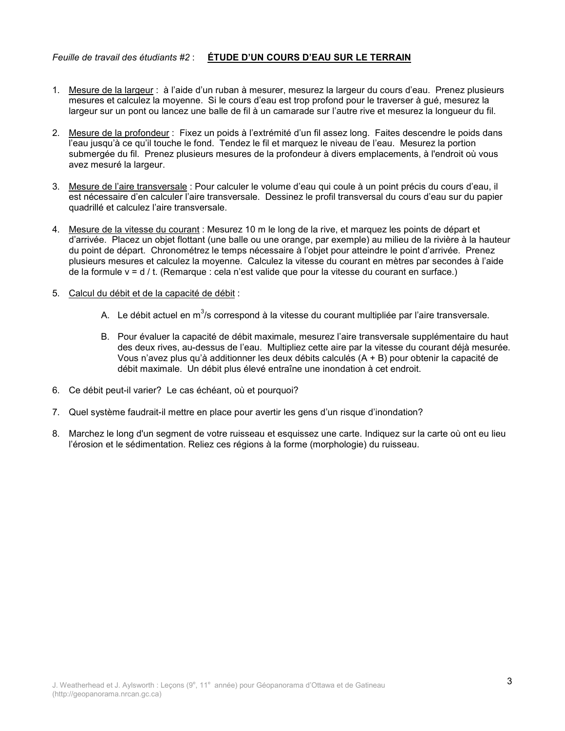### Feuille de travail des étudiants #2 : ÉTUDE D'UN COURS D'EAU SUR LE TERRAIN

- 1. Mesure de la largeur : à l'aide d'un ruban à mesurer, mesurez la largeur du cours d'eau. Prenez plusieurs mesures et calculez la moyenne. Si le cours d'eau est trop profond pour le traverser à qué, mesurez la largeur sur un pont ou lancez une balle de fil à un camarade sur l'autre rive et mesurez la longueur du fil.
- 2. Mesure de la profondeur : Fixez un poids à l'extrémité d'un fil assez long. Faites descendre le poids dans l'eau jusqu'à ce qu'il touche le fond. Tendez le fil et marquez le niveau de l'eau. Mesurez la portion submergée du fil. Prenez plusieurs mesures de la profondeur à divers emplacements, à l'endroit où vous avez mesuré la largeur.
- 3. Mesure de l'aire transversale : Pour calculer le volume d'eau qui coule à un point précis du cours d'eau, il est nécessaire d'en calculer l'aire transversale. Dessinez le profil transversal du cours d'eau sur du papier quadrillé et calculez l'aire transversale.
- 4. Mesure de la vitesse du courant : Mesurez 10 m le long de la rive, et marquez les points de départ et d'arrivée. Placez un objet flottant (une balle ou une orange, par exemple) au milieu de la rivière à la hauteur du point de départ. Chronométrez le temps nécessaire à l'objet pour atteindre le point d'arrivée. Prenez plusieurs mesures et calculez la movenne. Calculez la vitesse du courant en mètres par secondes à l'aide de la formule  $v = d / t$ . (Remarque : cela n'est valide que pour la vitesse du courant en surface.)
- 5. Calcul du débit et de la capacité de débit :
	- A. Le débit actuel en m<sup>3</sup>/s correspond à la vitesse du courant multipliée par l'aire transversale.
	- B. Pour évaluer la capacité de débit maximale, mesurez l'aire transversale supplémentaire du haut des deux rives, au-dessus de l'eau. Multipliez cette aire par la vitesse du courant déjà mesurée. Vous n'avez plus qu'à additionner les deux débits calculés (A + B) pour obtenir la capacité de débit maximale. Un débit plus élevé entraîne une inondation à cet endroit.
- 6. Ce débit peut-il varier? Le cas échéant, où et pourquoi?
- 7. Quel système faudrait-il mettre en place pour avertir les gens d'un risque d'inondation?
- 8. Marchez le long d'un segment de votre ruisseau et esquissez une carte. Indiquez sur la carte où ont eu lieu l'érosion et le sédimentation. Reliez ces régions à la forme (morphologie) du ruisseau.